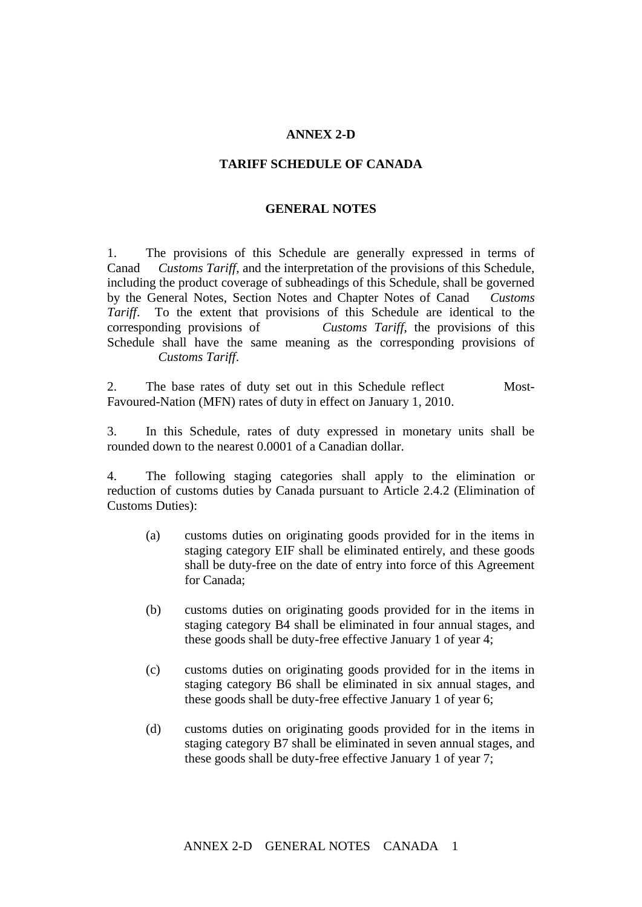## **ANNEX 2-D**

## **TARIFF SCHEDULE OF CANADA**

## **GENERAL NOTES**

1. The provisions of this Schedule are generally expressed in terms of Canad Customs Tariff, and the interpretation of the provisions of this Schedule, including the product coverage of subheadings of this Schedule, shall be governed by the General Notes, Section Notes and Chapter Notes of Canad *Customs Tariff*. To the extent that provisions of this Schedule are identical to the corresponding provisions of Customs Tariff, the provisions of this Schedule shall have the same meaning as the corresponding provisions of **Customs Tariff.** 

2. The base rates of duty set out in this Schedule reflect Most-Favoured-Nation (MFN) rates of duty in effect on January 1, 2010.

3. In this Schedule, rates of duty expressed in monetary units shall be rounded down to the nearest 0.0001 of a Canadian dollar.

4. The following staging categories shall apply to the elimination or reduction of customs duties by Canada pursuant to Article 2.4.2 (Elimination of Customs Duties):

- (a) customs duties on originating goods provided for in the items in staging category EIF shall be eliminated entirely, and these goods shall be duty-free on the date of entry into force of this Agreement for Canada;
- (b) customs duties on originating goods provided for in the items in staging category B4 shall be eliminated in four annual stages, and these goods shall be duty-free effective January 1 of year 4;
- (c) customs duties on originating goods provided for in the items in staging category B6 shall be eliminated in six annual stages, and these goods shall be duty-free effective January 1 of year 6;
- (d) customs duties on originating goods provided for in the items in staging category B7 shall be eliminated in seven annual stages, and these goods shall be duty-free effective January 1 of year 7;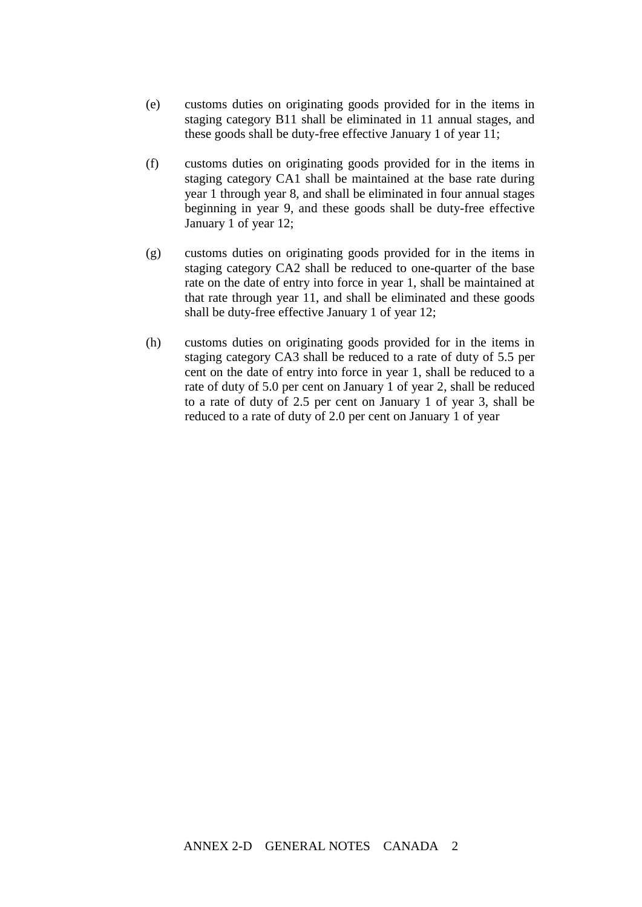- (e) customs duties on originating goods provided for in the items in staging category B11 shall be eliminated in 11 annual stages, and these goods shall be duty-free effective January 1 of year 11;
- (f) customs duties on originating goods provided for in the items in staging category CA1 shall be maintained at the base rate during year 1 through year 8, and shall be eliminated in four annual stages beginning in year 9, and these goods shall be duty-free effective January 1 of year 12;
- (g) customs duties on originating goods provided for in the items in staging category CA2 shall be reduced to one-quarter of the base rate on the date of entry into force in year 1, shall be maintained at that rate through year 11, and shall be eliminated and these goods shall be duty-free effective January 1 of year 12;
- (h) customs duties on originating goods provided for in the items in staging category CA3 shall be reduced to a rate of duty of 5.5 per cent on the date of entry into force in year 1, shall be reduced to a rate of duty of 5.0 per cent on January 1 of year 2, shall be reduced to a rate of duty of 2.5 per cent on January 1 of year 3, shall be reduced to a rate of duty of 2.0 per cent on January 1 of year